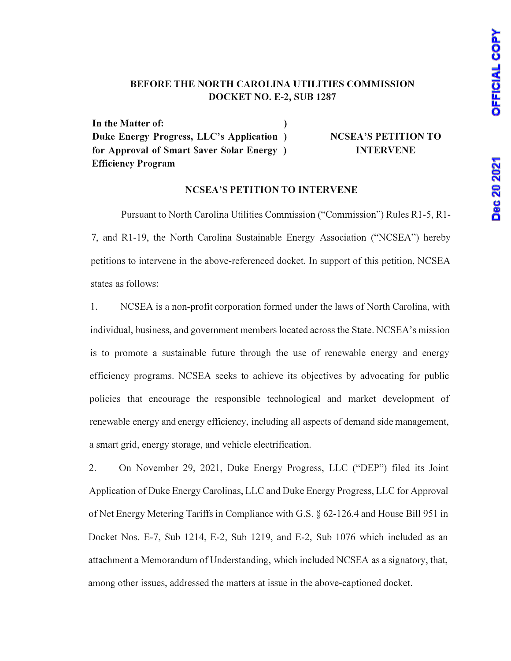## BEFORE THE NORTH CAROLINA UTILITIES COMMISSION DOCKET NO. E-2, SUB 1287

In the Matter of: (1) Duke Energy Progress, LLC's Application ) for Approval of Smart \$aver Solar Energy ) Efficiency Program

NCSEA'S PETITION TO INTERVENE

### NCSEA'S PETITION TO INTERVENE

Pursuant to North Carolina Utilities Commission ("Commission") Rules Rl-5, Rl-7, and Rl-19, the North Carolina Sustainable Energy Association ("NCSEA") hereby petitions to intervene in the above-referenced docket. In support of this petition, NCSEA states as follows:

1. NC SEA is a non-profit corporation formed under the laws of North Carolina, with individual, business, and government members located across the State. NCSEA's mission is to promote a sustainable future through the use of renewable energy and energy efficiency programs. NCSEA seeks to achieve its objectives by advocating for public policies that encourage the responsible technological and market development of renewable energy and energy efficiency, including all aspects of demand side management, a smart grid, energy storage, and vehicle electrification.

2. On November 29, 2021, Duke Energy Progress, LLC ("DEP") filed its Joint Application of Duke Energy Carolinas, LLC and Duke Energy Progress, LLC for Approval of Net Energy Metering Tariffs in Compliance with G.S. § 62-126.4 and House Bill 951 in Docket Nos. E-7, Sub 1214, E-2, Sub 1219, and E-2, Sub 1076 which included as an attachment a Memorandum of Understanding, which included NCSEA as a signatory, that, among other issues, addressed the matters at issue in the above-captioned docket.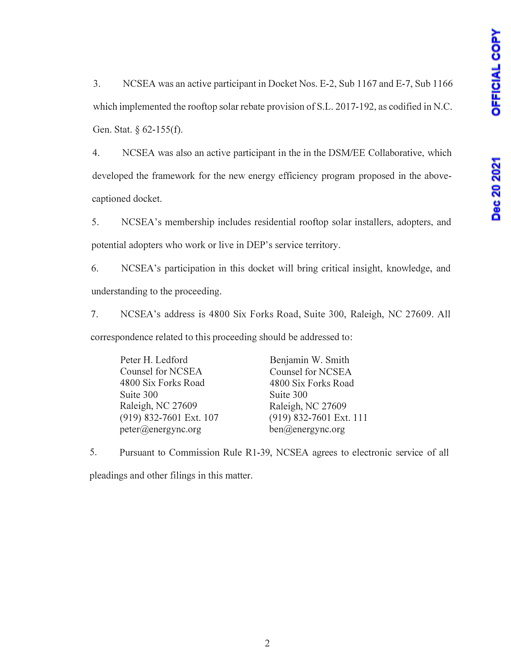3. NCSEA was an active participant in Docket Nos. E-2, Sub 1167 and E-7, Sub 1166 which implemented the rooftop solar rebate provision of S.L. 2017-192, as codified in N.C. Gen. Stat. *§* 62-155(f).

4. NCSEA was also an active participant in the in the DSM/EE Collaborative, which developed the framework for the new energy efficiency program proposed in the abovecaptioned docket.

5. NCSEA's membership includes residential rooftop solar installers, adopters, and potential adopters who work or live in DEP's service territory.

6. NCSEA's participation in this docket will bring critical insight, knowledge, and understanding to the proceeding.

7. NCSEA's address is 4800 Six Forks Road, Suite 300, Raleigh, NC 27609. All correspondence related to this proceeding should be addressed to:

Peter H. Ledford Counsel for NCSEA 4800 Six Forks Road Suite 300 Raleigh, NC 27609 (919) 832-7601 Ext. 107 peter@energync.org

Benjamin W. Smith Counsel for NCSEA 4800 Six Forks Road Suite 300 Raleigh, NC 27609 (919) 832-7601 Ext. 111 ben@energync.org

5. Pursuant to Commission Rule Rl-39, NCSEA agrees to electronic service of all pleadings and other filings in this matter.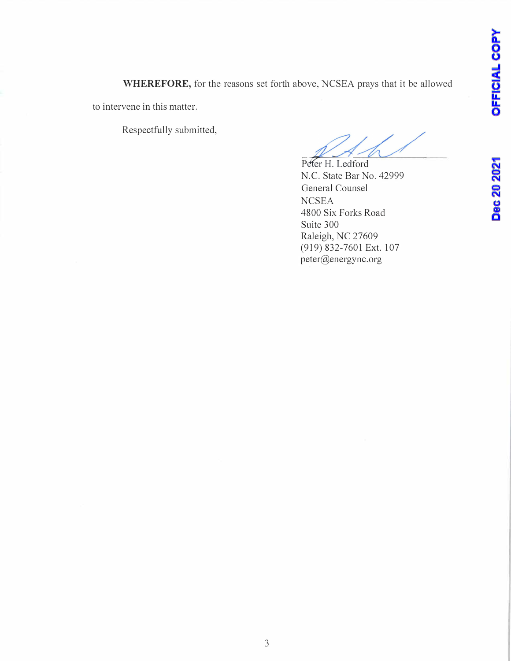**WHEREFORE,** for the reasons set forth above, NCSEA prays that it be allowed

to intervene in this matter.

Respectfully submitted,

Peter H. Ledford N.C. State Bar No. 42999 General Counsel **NCSEA** 4800 Six Forks Road Suite 300 Raleigh, NC 27609 (919) 832-7601 Ext. 107 peter@energync.org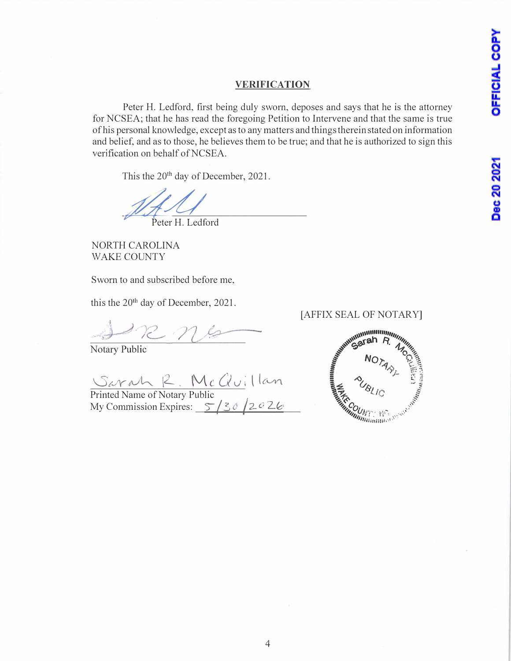## **VERIFICATION**

Peter H. Ledford, first being duly sworn, deposes and says that he is the attorney for NCSEA; that he has read the foregoing Petition to Intervene and that the same is true of his personal knowledge, except as to any matters and things therein stated on information and belief, and as to those, he believes them to be true; and that he is authorized to sign this verification on behalf of NCSEA.

This the 20<sup>th</sup> day of December, 2021.

Peter H. Ledford

NORTH CAROLINA WAKE COUNTY

Sworn to and subscribed before me,

this the 20th day of December, 2021.

Notary Public

*'01J<sup>Y</sup>1V� \2-.* Mc. *Gu;· t* **t(A./V\**

Printed Name of Notary Public My Commission Expires: 5/30/2026